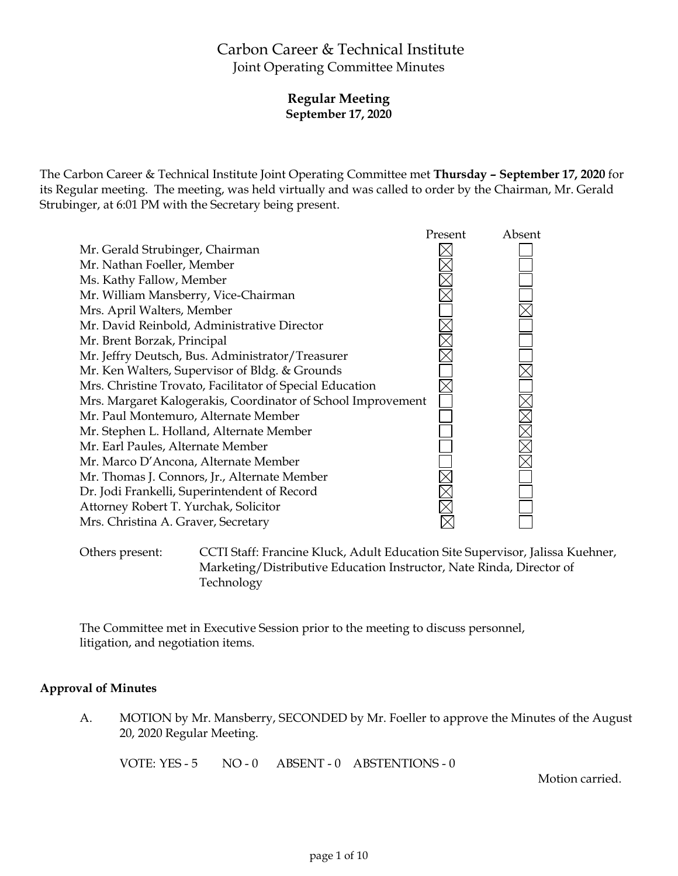# Carbon Career & Technical Institute Joint Operating Committee Minutes

### **Regular Meeting September 17, 2020**

The Carbon Career & Technical Institute Joint Operating Committee met **Thursday – September 17, 2020** for its Regular meeting. The meeting, was held virtually and was called to order by the Chairman, Mr. Gerald Strubinger, at 6:01 PM with the Secretary being present.



Others present: CCTI Staff: Francine Kluck, Adult Education Site Supervisor, Jalissa Kuehner, Marketing/Distributive Education Instructor, Nate Rinda, Director of Technology

The Committee met in Executive Session prior to the meeting to discuss personnel, litigation, and negotiation items.

#### **Approval of Minutes**

A. MOTION by Mr. Mansberry, SECONDED by Mr. Foeller to approve the Minutes of the August 20, 2020 Regular Meeting.

VOTE: YES - 5 NO - 0 ABSENT - 0 ABSTENTIONS - 0

Motion carried.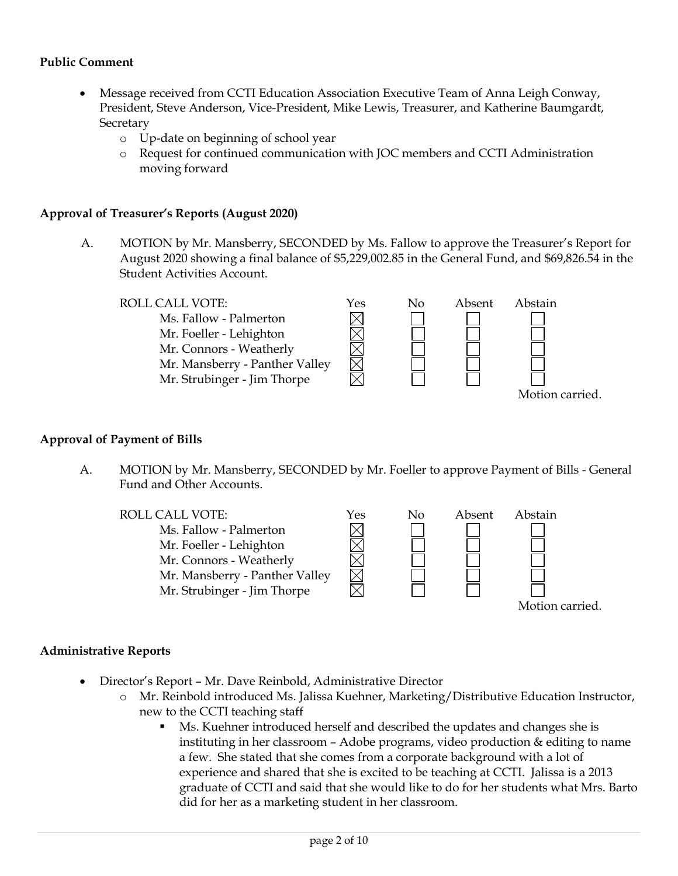#### **Public Comment**

- Message received from CCTI Education Association Executive Team of Anna Leigh Conway, President, Steve Anderson, Vice-President, Mike Lewis, Treasurer, and Katherine Baumgardt, **Secretary** 
	- o Up-date on beginning of school year
	- o Request for continued communication with JOC members and CCTI Administration moving forward

#### **Approval of Treasurer's Reports (August 2020)**

A. MOTION by Mr. Mansberry, SECONDED by Ms. Fallow to approve the Treasurer's Report for August 2020 showing a final balance of \$5,229,002.85 in the General Fund, and \$69,826.54 in the Student Activities Account.



#### **Approval of Payment of Bills**

A. MOTION by Mr. Mansberry, SECONDED by Mr. Foeller to approve Payment of Bills - General Fund and Other Accounts.



#### **Administrative Reports**

- Director's Report Mr. Dave Reinbold, Administrative Director
	- o Mr. Reinbold introduced Ms. Jalissa Kuehner, Marketing/Distributive Education Instructor, new to the CCTI teaching staff
		- Ms. Kuehner introduced herself and described the updates and changes she is instituting in her classroom – Adobe programs, video production & editing to name a few. She stated that she comes from a corporate background with a lot of experience and shared that she is excited to be teaching at CCTI. Jalissa is a 2013 graduate of CCTI and said that she would like to do for her students what Mrs. Barto did for her as a marketing student in her classroom.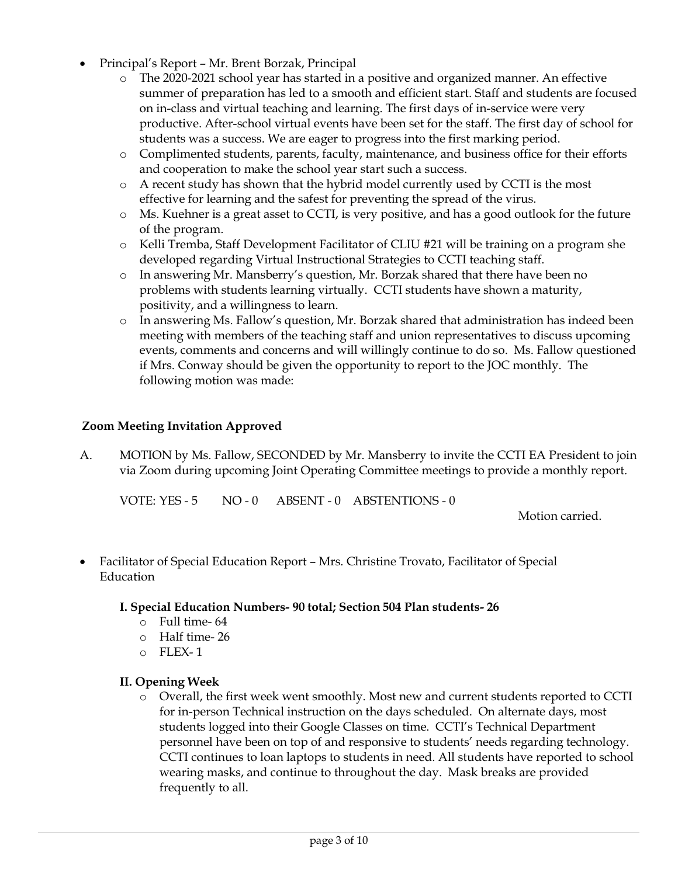- Principal's Report Mr. Brent Borzak, Principal
	- o The 2020-2021 school year has started in a positive and organized manner. An effective summer of preparation has led to a smooth and efficient start. Staff and students are focused on in-class and virtual teaching and learning. The first days of in-service were very productive. After-school virtual events have been set for the staff. The first day of school for students was a success. We are eager to progress into the first marking period.
	- o Complimented students, parents, faculty, maintenance, and business office for their efforts and cooperation to make the school year start such a success.
	- o A recent study has shown that the hybrid model currently used by CCTI is the most effective for learning and the safest for preventing the spread of the virus.
	- o Ms. Kuehner is a great asset to CCTI, is very positive, and has a good outlook for the future of the program.
	- o Kelli Tremba, Staff Development Facilitator of CLIU #21 will be training on a program she developed regarding Virtual Instructional Strategies to CCTI teaching staff.
	- o In answering Mr. Mansberry's question, Mr. Borzak shared that there have been no problems with students learning virtually. CCTI students have shown a maturity, positivity, and a willingness to learn.
	- o In answering Ms. Fallow's question, Mr. Borzak shared that administration has indeed been meeting with members of the teaching staff and union representatives to discuss upcoming events, comments and concerns and will willingly continue to do so. Ms. Fallow questioned if Mrs. Conway should be given the opportunity to report to the JOC monthly. The following motion was made:

#### **Zoom Meeting Invitation Approved**

A. MOTION by Ms. Fallow, SECONDED by Mr. Mansberry to invite the CCTI EA President to join via Zoom during upcoming Joint Operating Committee meetings to provide a monthly report.

VOTE: YES - 5 NO - 0 ABSENT - 0 ABSTENTIONS - 0

Motion carried.

 Facilitator of Special Education Report – Mrs. Christine Trovato, Facilitator of Special **Education** 

#### **I. Special Education Numbers- 90 total; Section 504 Plan students- 26**

- o Full time- 64
- o Half time- 26
- o FLEX- 1

#### **II. Opening Week**

o Overall, the first week went smoothly. Most new and current students reported to CCTI for in-person Technical instruction on the days scheduled. On alternate days, most students logged into their Google Classes on time. CCTI's Technical Department personnel have been on top of and responsive to students' needs regarding technology. CCTI continues to loan laptops to students in need. All students have reported to school wearing masks, and continue to throughout the day. Mask breaks are provided frequently to all.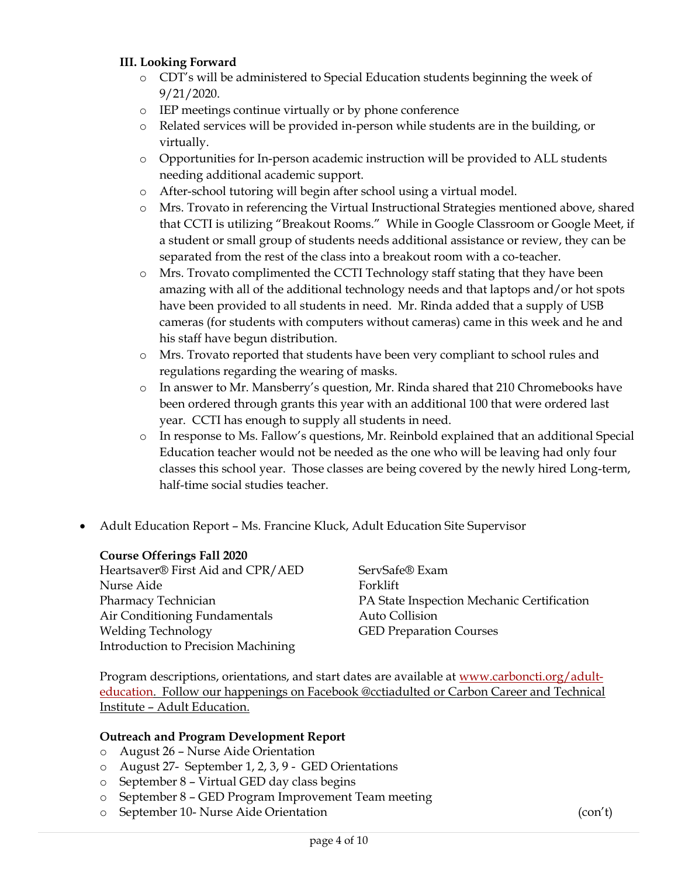### **III. Looking Forward**

- o CDT's will be administered to Special Education students beginning the week of 9/21/2020.
- o IEP meetings continue virtually or by phone conference
- o Related services will be provided in-person while students are in the building, or virtually.
- o Opportunities for In-person academic instruction will be provided to ALL students needing additional academic support.
- o After-school tutoring will begin after school using a virtual model.
- o Mrs. Trovato in referencing the Virtual Instructional Strategies mentioned above, shared that CCTI is utilizing "Breakout Rooms." While in Google Classroom or Google Meet, if a student or small group of students needs additional assistance or review, they can be separated from the rest of the class into a breakout room with a co-teacher.
- o Mrs. Trovato complimented the CCTI Technology staff stating that they have been amazing with all of the additional technology needs and that laptops and/or hot spots have been provided to all students in need. Mr. Rinda added that a supply of USB cameras (for students with computers without cameras) came in this week and he and his staff have begun distribution.
- o Mrs. Trovato reported that students have been very compliant to school rules and regulations regarding the wearing of masks.
- o In answer to Mr. Mansberry's question, Mr. Rinda shared that 210 Chromebooks have been ordered through grants this year with an additional 100 that were ordered last year. CCTI has enough to supply all students in need.
- o In response to Ms. Fallow's questions, Mr. Reinbold explained that an additional Special Education teacher would not be needed as the one who will be leaving had only four classes this school year. Those classes are being covered by the newly hired Long-term, half-time social studies teacher.
- Adult Education Report Ms. Francine Kluck, Adult Education Site Supervisor

#### **Course Offerings Fall 2020**

Heartsaver® First Aid and CPR/AED Nurse Aide Pharmacy Technician Air Conditioning Fundamentals Welding Technology Introduction to Precision Machining ServSafe® Exam Forklift PA State Inspection Mechanic Certification Auto Collision GED Preparation Courses

Program descriptions, orientations, and start dates are available at [www.carboncti.org/adult](http://www.carboncti.org/adult-education)[education.](http://www.carboncti.org/adult-education) Follow our happenings on Facebook @cctiadulted or Carbon Career and Technical Institute – Adult Education.

#### **Outreach and Program Development Report**

- o August 26 Nurse Aide Orientation
- o August 27- September 1, 2, 3, 9 GED Orientations
- o September 8 Virtual GED day class begins
- o September 8 GED Program Improvement Team meeting
- o September 10- Nurse Aide Orientation (con't)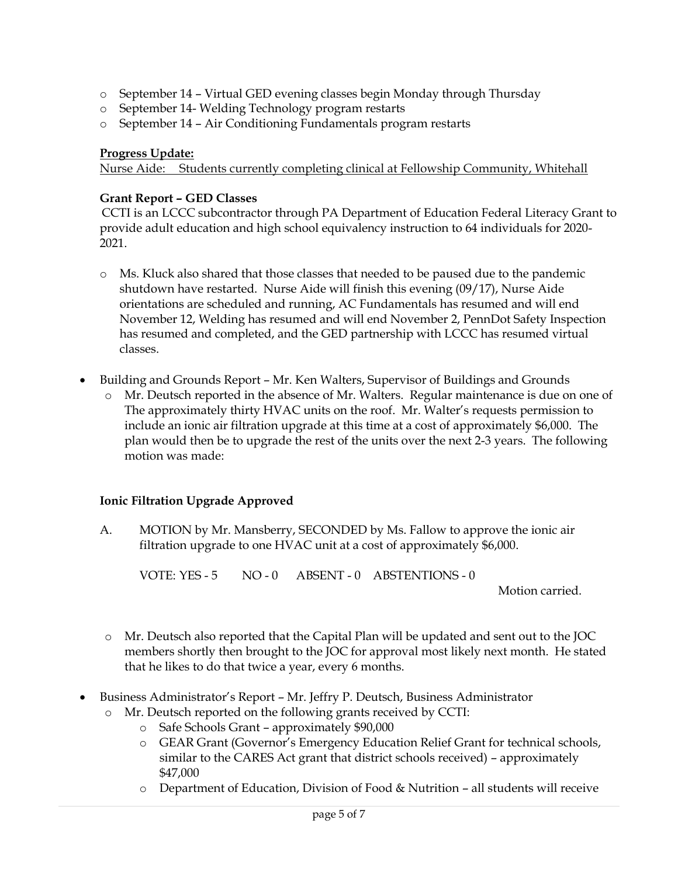- o September 14 Virtual GED evening classes begin Monday through Thursday
- o September 14- Welding Technology program restarts
- o September 14 Air Conditioning Fundamentals program restarts

### **Progress Update:**

Nurse Aide: Students currently completing clinical at Fellowship Community, Whitehall

### **Grant Report – GED Classes**

CCTI is an LCCC subcontractor through PA Department of Education Federal Literacy Grant to provide adult education and high school equivalency instruction to 64 individuals for 2020- 2021.

- o Ms. Kluck also shared that those classes that needed to be paused due to the pandemic shutdown have restarted. Nurse Aide will finish this evening (09/17), Nurse Aide orientations are scheduled and running, AC Fundamentals has resumed and will end November 12, Welding has resumed and will end November 2, PennDot Safety Inspection has resumed and completed, and the GED partnership with LCCC has resumed virtual classes.
- Building and Grounds Report Mr. Ken Walters, Supervisor of Buildings and Grounds
	- o Mr. Deutsch reported in the absence of Mr. Walters. Regular maintenance is due on one of The approximately thirty HVAC units on the roof. Mr. Walter's requests permission to include an ionic air filtration upgrade at this time at a cost of approximately \$6,000. The plan would then be to upgrade the rest of the units over the next 2-3 years. The following motion was made:

### **Ionic Filtration Upgrade Approved**

A. MOTION by Mr. Mansberry, SECONDED by Ms. Fallow to approve the ionic air filtration upgrade to one HVAC unit at a cost of approximately \$6,000.

VOTE: YES - 5 NO - 0 ABSENT - 0 ABSTENTIONS - 0

Motion carried.

- o Mr. Deutsch also reported that the Capital Plan will be updated and sent out to the JOC members shortly then brought to the JOC for approval most likely next month. He stated that he likes to do that twice a year, every 6 months.
- Business Administrator's Report Mr. Jeffry P. Deutsch, Business Administrator
	- o Mr. Deutsch reported on the following grants received by CCTI:
		- o Safe Schools Grant approximately \$90,000
		- o GEAR Grant (Governor's Emergency Education Relief Grant for technical schools, similar to the CARES Act grant that district schools received) – approximately \$47,000
		- o Department of Education, Division of Food & Nutrition all students will receive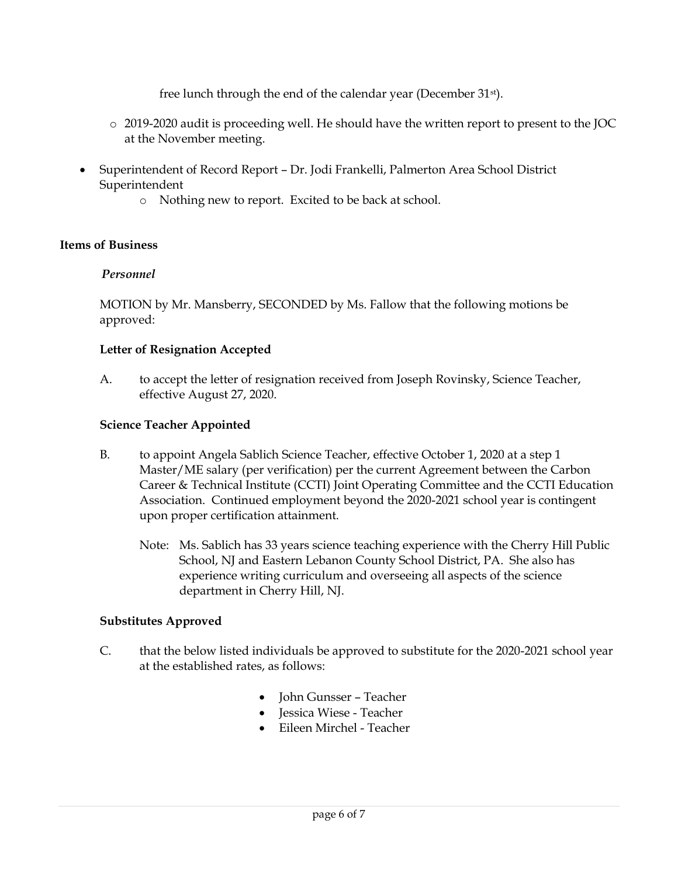free lunch through the end of the calendar year (December 31st).

- o 2019-2020 audit is proceeding well. He should have the written report to present to the JOC at the November meeting.
- Superintendent of Record Report Dr. Jodi Frankelli, Palmerton Area School District Superintendent
	- o Nothing new to report. Excited to be back at school.

### **Items of Business**

### *Personnel*

MOTION by Mr. Mansberry, SECONDED by Ms. Fallow that the following motions be approved:

### **Letter of Resignation Accepted**

A. to accept the letter of resignation received from Joseph Rovinsky, Science Teacher, effective August 27, 2020.

### **Science Teacher Appointed**

- B. to appoint Angela Sablich Science Teacher, effective October 1, 2020 at a step 1 Master/ME salary (per verification) per the current Agreement between the Carbon Career & Technical Institute (CCTI) Joint Operating Committee and the CCTI Education Association. Continued employment beyond the 2020-2021 school year is contingent upon proper certification attainment.
	- Note: Ms. Sablich has 33 years science teaching experience with the Cherry Hill Public School, NJ and Eastern Lebanon County School District, PA. She also has experience writing curriculum and overseeing all aspects of the science department in Cherry Hill, NJ.

## **Substitutes Approved**

- C. that the below listed individuals be approved to substitute for the 2020-2021 school year at the established rates, as follows:
	- John Gunsser Teacher
	- Jessica Wiese Teacher
	- Eileen Mirchel Teacher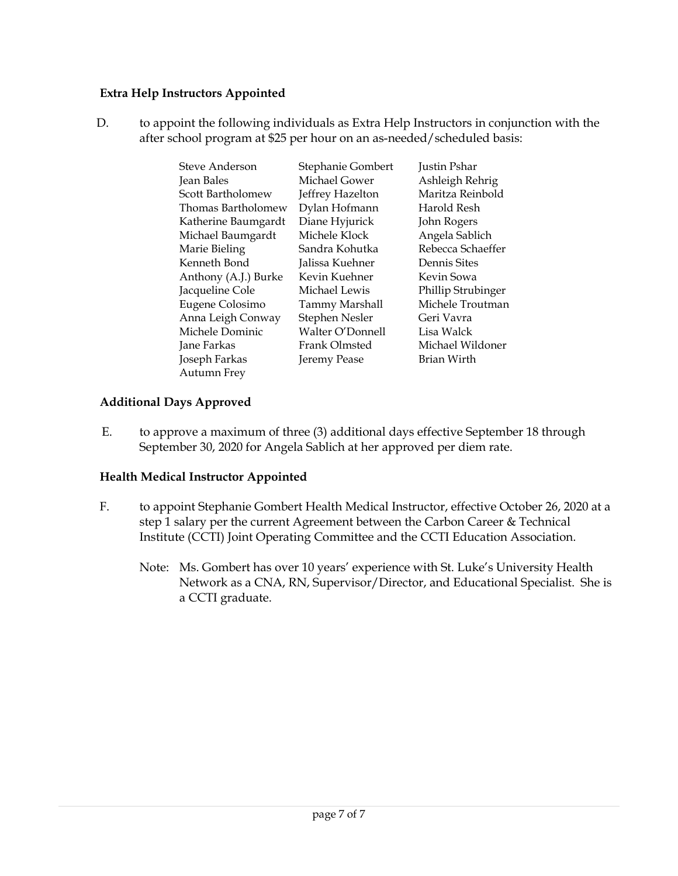### **Extra Help Instructors Appointed**

D. to appoint the following individuals as Extra Help Instructors in conjunction with the after school program at \$25 per hour on an as-needed/scheduled basis:

| Steve Anderson       | Stephanie Gombert     | Justin Pshar       |
|----------------------|-----------------------|--------------------|
| Jean Bales           | Michael Gower         | Ashleigh Rehrig    |
| Scott Bartholomew    | Jeffrey Hazelton      | Maritza Reinbold   |
| Thomas Bartholomew   | Dylan Hofmann         | Harold Resh        |
| Katherine Baumgardt  | Diane Hyjurick        | John Rogers        |
| Michael Baumgardt    | Michele Klock         | Angela Sablich     |
| Marie Bieling        | Sandra Kohutka        | Rebecca Schaeffer  |
| Kenneth Bond         | Jalissa Kuehner       | Dennis Sites       |
| Anthony (A.J.) Burke | Kevin Kuehner         | Kevin Sowa         |
| Jacqueline Cole      | Michael Lewis         | Phillip Strubinger |
| Eugene Colosimo      | <b>Tammy Marshall</b> | Michele Troutman   |
| Anna Leigh Conway    | Stephen Nesler        | Geri Vavra         |
| Michele Dominic      | Walter O'Donnell      | Lisa Walck         |
| Jane Farkas          | <b>Frank Olmsted</b>  | Michael Wildoner   |
| Joseph Farkas        | Jeremy Pease          | Brian Wirth        |
| <b>Autumn Frey</b>   |                       |                    |

### **Additional Days Approved**

E. to approve a maximum of three (3) additional days effective September 18 through September 30, 2020 for Angela Sablich at her approved per diem rate.

### **Health Medical Instructor Appointed**

- F. to appoint Stephanie Gombert Health Medical Instructor, effective October 26, 2020 at a step 1 salary per the current Agreement between the Carbon Career & Technical Institute (CCTI) Joint Operating Committee and the CCTI Education Association.
	- Note: Ms. Gombert has over 10 years' experience with St. Luke's University Health Network as a CNA, RN, Supervisor/Director, and Educational Specialist. She is a CCTI graduate.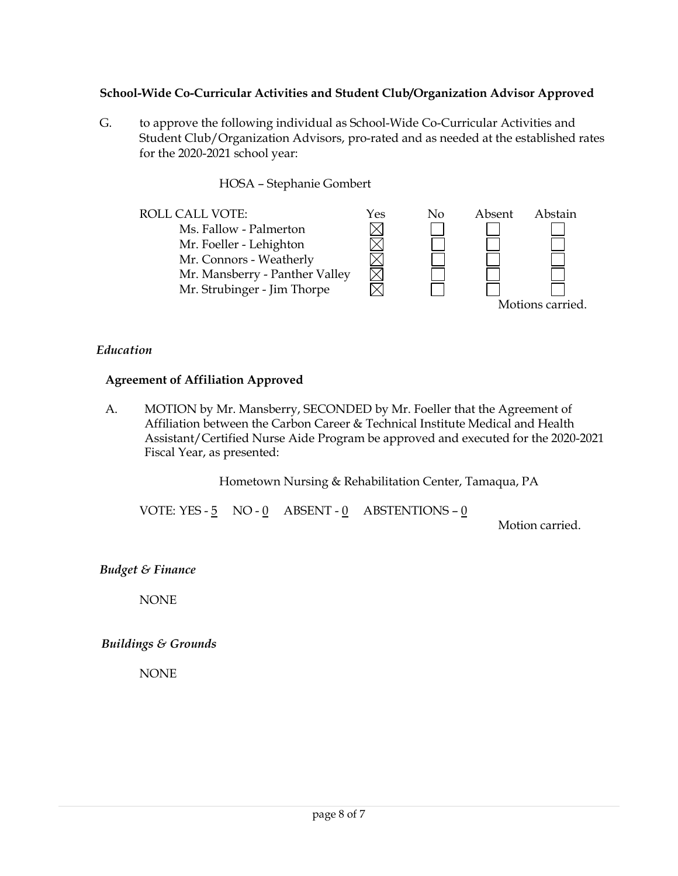### **School-Wide Co-Curricular Activities and Student Club/Organization Advisor Approved**

G. to approve the following individual as School-Wide Co-Curricular Activities and Student Club/Organization Advisors, pro-rated and as needed at the established rates for the 2020-2021 school year:

HOSA – Stephanie Gombert



### *Education*

### **Agreement of Affiliation Approved**

A. MOTION by Mr. Mansberry, SECONDED by Mr. Foeller that the Agreement of Affiliation between the Carbon Career & Technical Institute Medical and Health Assistant/Certified Nurse Aide Program be approved and executed for the 2020-2021 Fiscal Year, as presented:

Hometown Nursing & Rehabilitation Center, Tamaqua, PA

VOTE: YES -  $\frac{5}{5}$  NO -  $\frac{0}{0}$  ABSENT -  $\frac{0}{0}$  ABSTENTIONS -  $\frac{0}{0}$ 

Motion carried.

*Budget & Finance*

NONE

*Buildings & Grounds*

NONE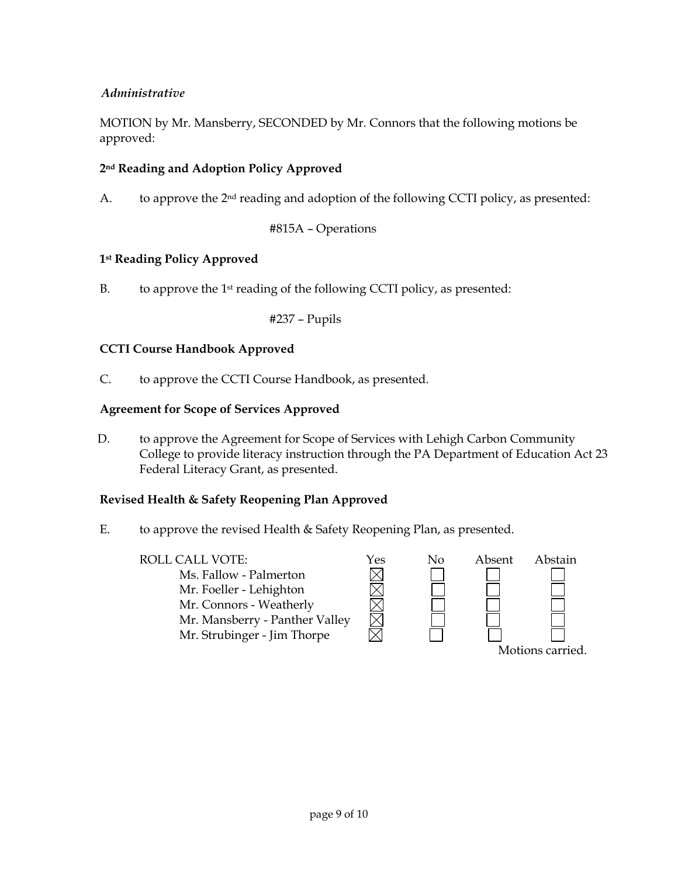### *Administrative*

MOTION by Mr. Mansberry, SECONDED by Mr. Connors that the following motions be approved:

### **2nd Reading and Adoption Policy Approved**

A. to approve the  $2<sup>nd</sup>$  reading and adoption of the following CCTI policy, as presented:

#815A – Operations

### **1st Reading Policy Approved**

B. to approve the 1st reading of the following CCTI policy, as presented:

#237 – Pupils

### **CCTI Course Handbook Approved**

C. to approve the CCTI Course Handbook, as presented.

#### **Agreement for Scope of Services Approved**

D. to approve the Agreement for Scope of Services with Lehigh Carbon Community College to provide literacy instruction through the PA Department of Education Act 23 Federal Literacy Grant, as presented.

#### **Revised Health & Safety Reopening Plan Approved**

- E. to approve the revised Health & Safety Reopening Plan, as presented.
	- ROLL CALL VOTE:  $\gamma$ es No Absent Abstain MMMM Ms. Fallow - Palmerton Mr. Foeller - Lehighton Mr. Connors - Weatherly Mr. Mansberry - Panther Valley Mr. Strubinger - Jim Thorpe Motions carried.